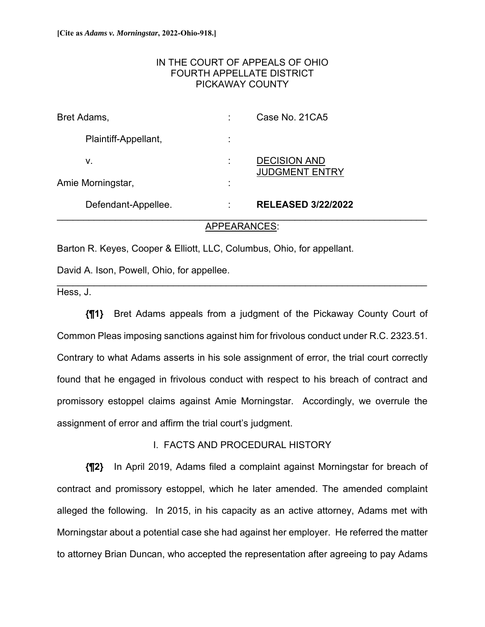### IN THE COURT OF APPEALS OF OHIO FOURTH APPELLATE DISTRICT PICKAWAY COUNTY

| Bret Adams,          |                   | Case No. 21CA5                               |
|----------------------|-------------------|----------------------------------------------|
| Plaintiff-Appellant, | ٠<br>$\mathbf{r}$ |                                              |
| ν.                   |                   | <b>DECISION AND</b><br><b>JUDGMENT ENTRY</b> |
| Amie Morningstar,    | ٠<br>$\mathbf{r}$ |                                              |
| Defendant-Appellee.  | ÷                 | <b>RELEASED 3/22/2022</b>                    |

### APPEARANCES:

\_\_\_\_\_\_\_\_\_\_\_\_\_\_\_\_\_\_\_\_\_\_\_\_\_\_\_\_\_\_\_\_\_\_\_\_\_\_\_\_\_\_\_\_\_\_\_\_\_\_\_\_\_\_\_\_\_\_\_\_\_\_\_\_\_\_\_\_\_\_

Barton R. Keyes, Cooper & Elliott, LLC, Columbus, Ohio, for appellant.

David A. Ison, Powell, Ohio, for appellee.

Hess, J.

**{¶1}** Bret Adams appeals from a judgment of the Pickaway County Court of Common Pleas imposing sanctions against him for frivolous conduct under R.C. 2323.51. Contrary to what Adams asserts in his sole assignment of error, the trial court correctly found that he engaged in frivolous conduct with respect to his breach of contract and promissory estoppel claims against Amie Morningstar. Accordingly, we overrule the assignment of error and affirm the trial court's judgment.

### I. FACTS AND PROCEDURAL HISTORY

**{¶2}** In April 2019, Adams filed a complaint against Morningstar for breach of contract and promissory estoppel, which he later amended. The amended complaint alleged the following. In 2015, in his capacity as an active attorney, Adams met with Morningstar about a potential case she had against her employer. He referred the matter to attorney Brian Duncan, who accepted the representation after agreeing to pay Adams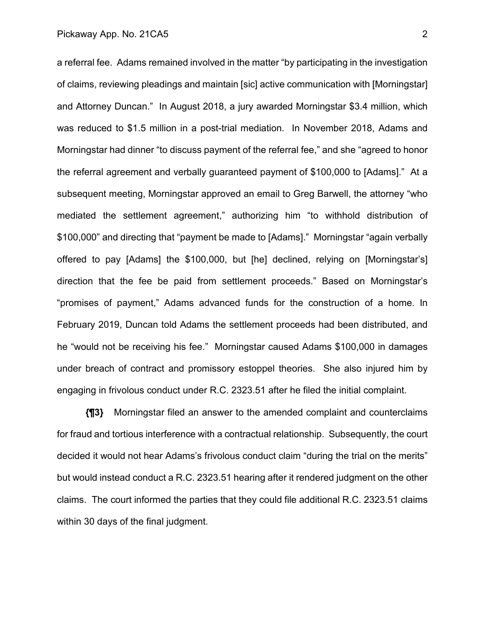a referral fee. Adams remained involved in the matter "by participating in the investigation of claims, reviewing pleadings and maintain [sic] active communication with [Morningstar] and Attorney Duncan." In August 2018, a jury awarded Morningstar \$3.4 million, which was reduced to \$1.5 million in a post-trial mediation. In November 2018, Adams and Morningstar had dinner "to discuss payment of the referral fee," and she "agreed to honor the referral agreement and verbally guaranteed payment of \$100,000 to [Adams]." At a subsequent meeting, Morningstar approved an email to Greg Barwell, the attorney "who mediated the settlement agreement," authorizing him "to withhold distribution of \$100,000" and directing that "payment be made to [Adams]." Morningstar "again verbally offered to pay [Adams] the \$100,000, but [he] declined, relying on [Morningstar's] direction that the fee be paid from settlement proceeds." Based on Morningstar's "promises of payment," Adams advanced funds for the construction of a home. In February 2019, Duncan told Adams the settlement proceeds had been distributed, and he "would not be receiving his fee." Morningstar caused Adams \$100,000 in damages under breach of contract and promissory estoppel theories. She also injured him by engaging in frivolous conduct under R.C. 2323.51 after he filed the initial complaint.

**{¶3}** Morningstar filed an answer to the amended complaint and counterclaims for fraud and tortious interference with a contractual relationship. Subsequently, the court decided it would not hear Adams's frivolous conduct claim "during the trial on the merits" but would instead conduct a R.C. 2323.51 hearing after it rendered judgment on the other claims. The court informed the parties that they could file additional R.C. 2323.51 claims within 30 days of the final judgment.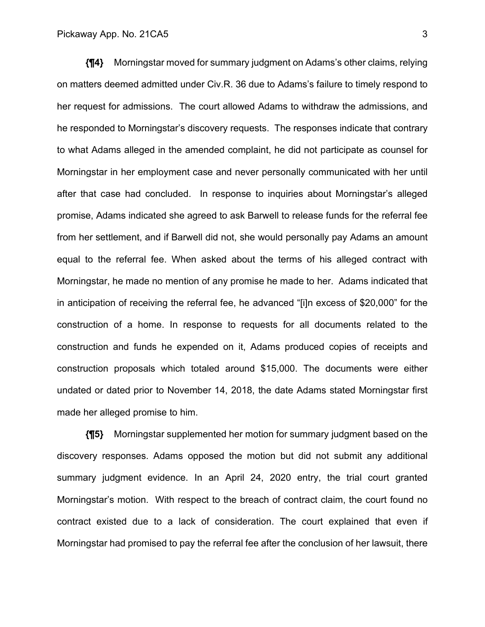**{¶4}** Morningstar moved for summary judgment on Adams's other claims, relying on matters deemed admitted under Civ.R. 36 due to Adams's failure to timely respond to her request for admissions. The court allowed Adams to withdraw the admissions, and he responded to Morningstar's discovery requests. The responses indicate that contrary to what Adams alleged in the amended complaint, he did not participate as counsel for Morningstar in her employment case and never personally communicated with her until after that case had concluded. In response to inquiries about Morningstar's alleged promise, Adams indicated she agreed to ask Barwell to release funds for the referral fee from her settlement, and if Barwell did not, she would personally pay Adams an amount equal to the referral fee. When asked about the terms of his alleged contract with Morningstar, he made no mention of any promise he made to her. Adams indicated that in anticipation of receiving the referral fee, he advanced "[i]n excess of \$20,000" for the construction of a home. In response to requests for all documents related to the construction and funds he expended on it, Adams produced copies of receipts and construction proposals which totaled around \$15,000. The documents were either undated or dated prior to November 14, 2018, the date Adams stated Morningstar first made her alleged promise to him.

**{¶5}** Morningstar supplemented her motion for summary judgment based on the discovery responses. Adams opposed the motion but did not submit any additional summary judgment evidence. In an April 24, 2020 entry, the trial court granted Morningstar's motion. With respect to the breach of contract claim, the court found no contract existed due to a lack of consideration. The court explained that even if Morningstar had promised to pay the referral fee after the conclusion of her lawsuit, there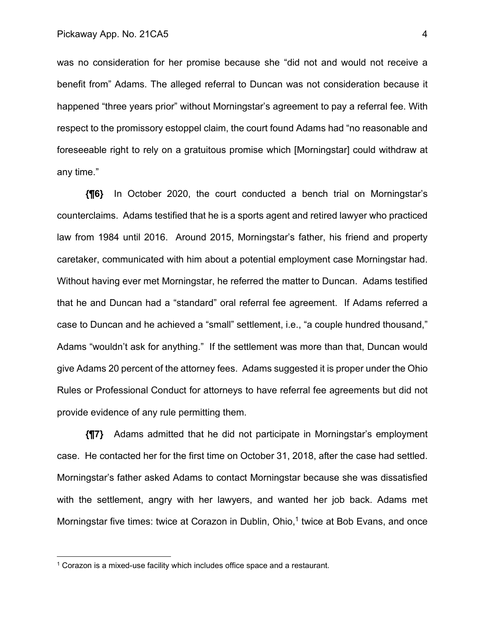was no consideration for her promise because she "did not and would not receive a benefit from" Adams. The alleged referral to Duncan was not consideration because it happened "three years prior" without Morningstar's agreement to pay a referral fee. With respect to the promissory estoppel claim, the court found Adams had "no reasonable and foreseeable right to rely on a gratuitous promise which [Morningstar] could withdraw at any time."

**{¶6}** In October 2020, the court conducted a bench trial on Morningstar's counterclaims. Adams testified that he is a sports agent and retired lawyer who practiced law from 1984 until 2016. Around 2015, Morningstar's father, his friend and property caretaker, communicated with him about a potential employment case Morningstar had. Without having ever met Morningstar, he referred the matter to Duncan. Adams testified that he and Duncan had a "standard" oral referral fee agreement. If Adams referred a case to Duncan and he achieved a "small" settlement, i.e., "a couple hundred thousand," Adams "wouldn't ask for anything." If the settlement was more than that, Duncan would give Adams 20 percent of the attorney fees. Adams suggested it is proper under the Ohio Rules or Professional Conduct for attorneys to have referral fee agreements but did not provide evidence of any rule permitting them.

**{¶7}** Adams admitted that he did not participate in Morningstar's employment case. He contacted her for the first time on October 31, 2018, after the case had settled. Morningstar's father asked Adams to contact Morningstar because she was dissatisfied with the settlement, angry with her lawyers, and wanted her job back. Adams met Morningstar five times: twice at Corazon in Dublin, Ohio,<sup>1</sup> twice at Bob Evans, and once

<sup>&</sup>lt;sup>1</sup> Corazon is a mixed-use facility which includes office space and a restaurant.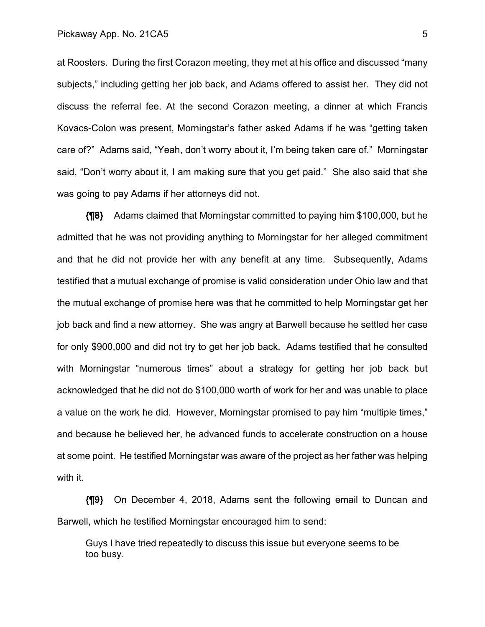at Roosters. During the first Corazon meeting, they met at his office and discussed "many subjects," including getting her job back, and Adams offered to assist her. They did not discuss the referral fee. At the second Corazon meeting, a dinner at which Francis Kovacs-Colon was present, Morningstar's father asked Adams if he was "getting taken care of?" Adams said, "Yeah, don't worry about it, I'm being taken care of." Morningstar said, "Don't worry about it, I am making sure that you get paid." She also said that she was going to pay Adams if her attorneys did not.

**{¶8}** Adams claimed that Morningstar committed to paying him \$100,000, but he admitted that he was not providing anything to Morningstar for her alleged commitment and that he did not provide her with any benefit at any time. Subsequently, Adams testified that a mutual exchange of promise is valid consideration under Ohio law and that the mutual exchange of promise here was that he committed to help Morningstar get her job back and find a new attorney. She was angry at Barwell because he settled her case for only \$900,000 and did not try to get her job back. Adams testified that he consulted with Morningstar "numerous times" about a strategy for getting her job back but acknowledged that he did not do \$100,000 worth of work for her and was unable to place a value on the work he did. However, Morningstar promised to pay him "multiple times," and because he believed her, he advanced funds to accelerate construction on a house at some point. He testified Morningstar was aware of the project as her father was helping with it.

**{¶9}** On December 4, 2018, Adams sent the following email to Duncan and Barwell, which he testified Morningstar encouraged him to send:

Guys I have tried repeatedly to discuss this issue but everyone seems to be too busy.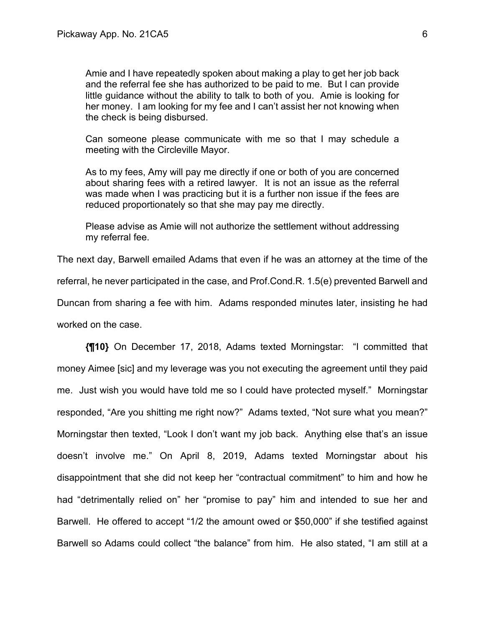Amie and I have repeatedly spoken about making a play to get her job back and the referral fee she has authorized to be paid to me. But I can provide little guidance without the ability to talk to both of you. Amie is looking for her money. I am looking for my fee and I can't assist her not knowing when the check is being disbursed.

Can someone please communicate with me so that I may schedule a meeting with the Circleville Mayor.

As to my fees, Amy will pay me directly if one or both of you are concerned about sharing fees with a retired lawyer. It is not an issue as the referral was made when I was practicing but it is a further non issue if the fees are reduced proportionately so that she may pay me directly.

Please advise as Amie will not authorize the settlement without addressing my referral fee.

The next day, Barwell emailed Adams that even if he was an attorney at the time of the referral, he never participated in the case, and Prof.Cond.R. 1.5(e) prevented Barwell and Duncan from sharing a fee with him. Adams responded minutes later, insisting he had worked on the case.

**{¶10}** On December 17, 2018, Adams texted Morningstar: "I committed that money Aimee [sic] and my leverage was you not executing the agreement until they paid me. Just wish you would have told me so I could have protected myself." Morningstar responded, "Are you shitting me right now?" Adams texted, "Not sure what you mean?" Morningstar then texted, "Look I don't want my job back. Anything else that's an issue doesn't involve me." On April 8, 2019, Adams texted Morningstar about his disappointment that she did not keep her "contractual commitment" to him and how he had "detrimentally relied on" her "promise to pay" him and intended to sue her and Barwell. He offered to accept "1/2 the amount owed or \$50,000" if she testified against Barwell so Adams could collect "the balance" from him. He also stated, "I am still at a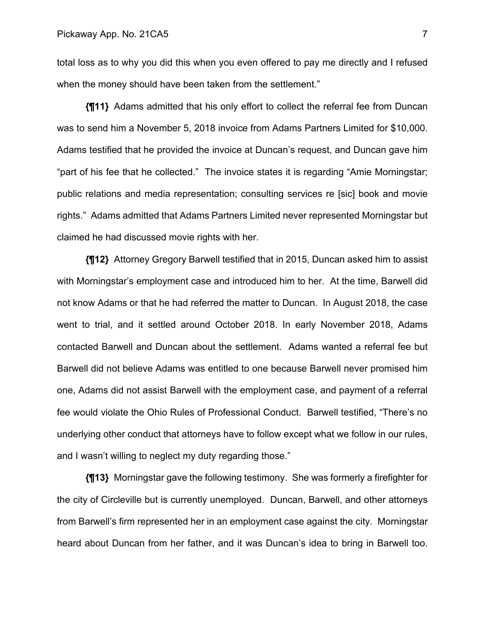total loss as to why you did this when you even offered to pay me directly and I refused when the money should have been taken from the settlement."

**{¶11}** Adams admitted that his only effort to collect the referral fee from Duncan was to send him a November 5, 2018 invoice from Adams Partners Limited for \$10,000. Adams testified that he provided the invoice at Duncan's request, and Duncan gave him "part of his fee that he collected." The invoice states it is regarding "Amie Morningstar; public relations and media representation; consulting services re [sic] book and movie rights." Adams admitted that Adams Partners Limited never represented Morningstar but claimed he had discussed movie rights with her.

**{¶12}** Attorney Gregory Barwell testified that in 2015, Duncan asked him to assist with Morningstar's employment case and introduced him to her. At the time, Barwell did not know Adams or that he had referred the matter to Duncan. In August 2018, the case went to trial, and it settled around October 2018. In early November 2018, Adams contacted Barwell and Duncan about the settlement. Adams wanted a referral fee but Barwell did not believe Adams was entitled to one because Barwell never promised him one, Adams did not assist Barwell with the employment case, and payment of a referral fee would violate the Ohio Rules of Professional Conduct. Barwell testified, "There's no underlying other conduct that attorneys have to follow except what we follow in our rules, and I wasn't willing to neglect my duty regarding those."

**{¶13}** Morningstar gave the following testimony. She was formerly a firefighter for the city of Circleville but is currently unemployed. Duncan, Barwell, and other attorneys from Barwell's firm represented her in an employment case against the city. Morningstar heard about Duncan from her father, and it was Duncan's idea to bring in Barwell too.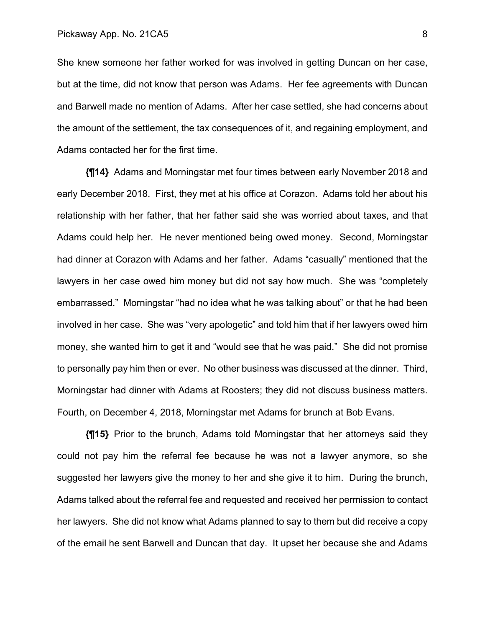She knew someone her father worked for was involved in getting Duncan on her case, but at the time, did not know that person was Adams. Her fee agreements with Duncan and Barwell made no mention of Adams. After her case settled, she had concerns about the amount of the settlement, the tax consequences of it, and regaining employment, and Adams contacted her for the first time.

**{¶14}** Adams and Morningstar met four times between early November 2018 and early December 2018. First, they met at his office at Corazon. Adams told her about his relationship with her father, that her father said she was worried about taxes, and that Adams could help her. He never mentioned being owed money. Second, Morningstar had dinner at Corazon with Adams and her father. Adams "casually" mentioned that the lawyers in her case owed him money but did not say how much. She was "completely embarrassed." Morningstar "had no idea what he was talking about" or that he had been involved in her case. She was "very apologetic" and told him that if her lawyers owed him money, she wanted him to get it and "would see that he was paid." She did not promise to personally pay him then or ever. No other business was discussed at the dinner. Third, Morningstar had dinner with Adams at Roosters; they did not discuss business matters. Fourth, on December 4, 2018, Morningstar met Adams for brunch at Bob Evans.

**{¶15}** Prior to the brunch, Adams told Morningstar that her attorneys said they could not pay him the referral fee because he was not a lawyer anymore, so she suggested her lawyers give the money to her and she give it to him. During the brunch, Adams talked about the referral fee and requested and received her permission to contact her lawyers. She did not know what Adams planned to say to them but did receive a copy of the email he sent Barwell and Duncan that day. It upset her because she and Adams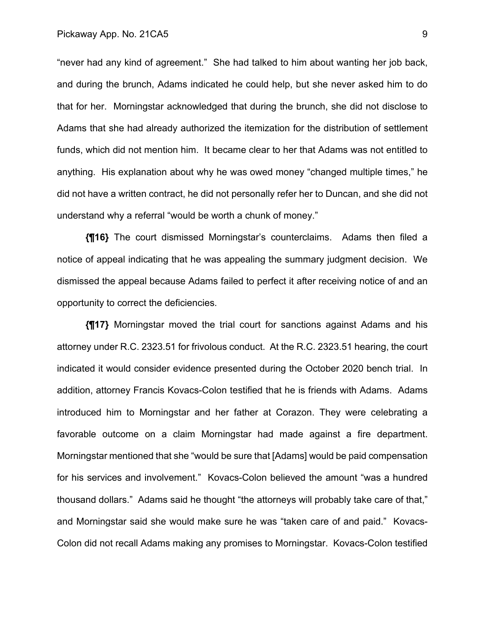"never had any kind of agreement." She had talked to him about wanting her job back, and during the brunch, Adams indicated he could help, but she never asked him to do that for her. Morningstar acknowledged that during the brunch, she did not disclose to Adams that she had already authorized the itemization for the distribution of settlement funds, which did not mention him. It became clear to her that Adams was not entitled to anything. His explanation about why he was owed money "changed multiple times," he did not have a written contract, he did not personally refer her to Duncan, and she did not understand why a referral "would be worth a chunk of money."

**{¶16}** The court dismissed Morningstar's counterclaims. Adams then filed a notice of appeal indicating that he was appealing the summary judgment decision. We dismissed the appeal because Adams failed to perfect it after receiving notice of and an opportunity to correct the deficiencies.

**{¶17}** Morningstar moved the trial court for sanctions against Adams and his attorney under R.C. 2323.51 for frivolous conduct. At the R.C. 2323.51 hearing, the court indicated it would consider evidence presented during the October 2020 bench trial. In addition, attorney Francis Kovacs-Colon testified that he is friends with Adams. Adams introduced him to Morningstar and her father at Corazon. They were celebrating a favorable outcome on a claim Morningstar had made against a fire department. Morningstar mentioned that she "would be sure that [Adams] would be paid compensation for his services and involvement." Kovacs-Colon believed the amount "was a hundred thousand dollars." Adams said he thought "the attorneys will probably take care of that," and Morningstar said she would make sure he was "taken care of and paid." Kovacs-Colon did not recall Adams making any promises to Morningstar. Kovacs-Colon testified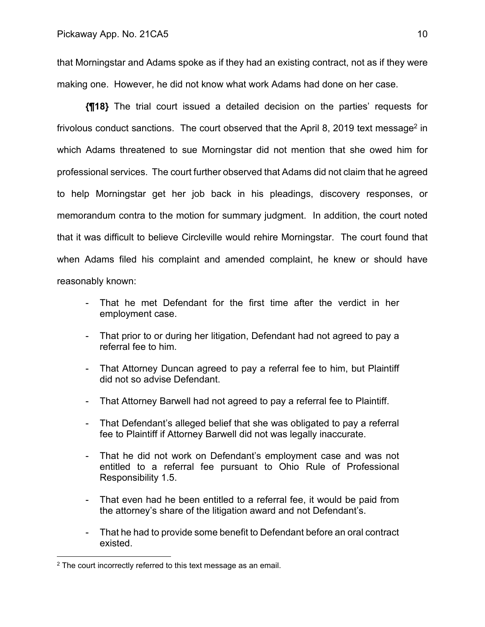that Morningstar and Adams spoke as if they had an existing contract, not as if they were making one. However, he did not know what work Adams had done on her case.

**{¶18}** The trial court issued a detailed decision on the parties' requests for frivolous conduct sanctions. The court observed that the April 8, 2019 text message<sup>2</sup> in which Adams threatened to sue Morningstar did not mention that she owed him for professional services. The court further observed that Adams did not claim that he agreed to help Morningstar get her job back in his pleadings, discovery responses, or memorandum contra to the motion for summary judgment. In addition, the court noted that it was difficult to believe Circleville would rehire Morningstar. The court found that when Adams filed his complaint and amended complaint, he knew or should have reasonably known:

- That he met Defendant for the first time after the verdict in her employment case.
- That prior to or during her litigation, Defendant had not agreed to pay a referral fee to him.
- That Attorney Duncan agreed to pay a referral fee to him, but Plaintiff did not so advise Defendant.
- That Attorney Barwell had not agreed to pay a referral fee to Plaintiff.
- That Defendant's alleged belief that she was obligated to pay a referral fee to Plaintiff if Attorney Barwell did not was legally inaccurate.
- That he did not work on Defendant's employment case and was not entitled to a referral fee pursuant to Ohio Rule of Professional Responsibility 1.5.
- That even had he been entitled to a referral fee, it would be paid from the attorney's share of the litigation award and not Defendant's.
- That he had to provide some benefit to Defendant before an oral contract existed.

<sup>2</sup> The court incorrectly referred to this text message as an email.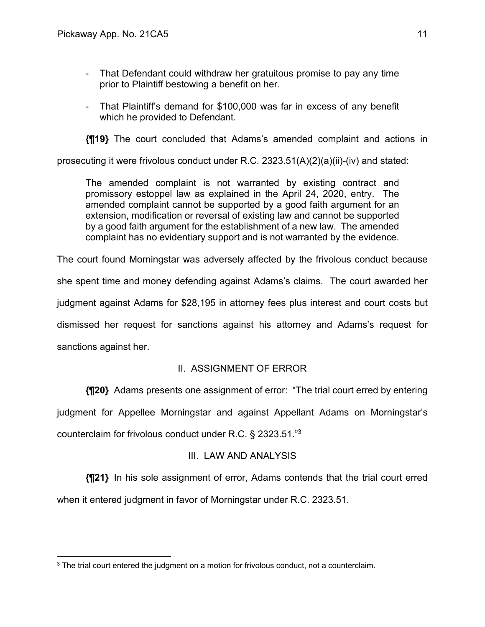- That Defendant could withdraw her gratuitous promise to pay any time prior to Plaintiff bestowing a benefit on her.
- That Plaintiff's demand for \$100,000 was far in excess of any benefit which he provided to Defendant.

**{¶19}** The court concluded that Adams's amended complaint and actions in

prosecuting it were frivolous conduct under R.C. 2323.51(A)(2)(a)(ii)-(iv) and stated:

The amended complaint is not warranted by existing contract and promissory estoppel law as explained in the April 24, 2020, entry. The amended complaint cannot be supported by a good faith argument for an extension, modification or reversal of existing law and cannot be supported by a good faith argument for the establishment of a new law. The amended complaint has no evidentiary support and is not warranted by the evidence.

The court found Morningstar was adversely affected by the frivolous conduct because she spent time and money defending against Adams's claims. The court awarded her judgment against Adams for \$28,195 in attorney fees plus interest and court costs but dismissed her request for sanctions against his attorney and Adams's request for sanctions against her.

# II. ASSIGNMENT OF ERROR

**{¶20}** Adams presents one assignment of error: "The trial court erred by entering judgment for Appellee Morningstar and against Appellant Adams on Morningstar's counterclaim for frivolous conduct under R.C. § 2323.51."3

# III. LAW AND ANALYSIS

**{¶21}** In his sole assignment of error, Adams contends that the trial court erred when it entered judgment in favor of Morningstar under R.C. 2323.51.

<sup>&</sup>lt;sup>3</sup> The trial court entered the judgment on a motion for frivolous conduct, not a counterclaim.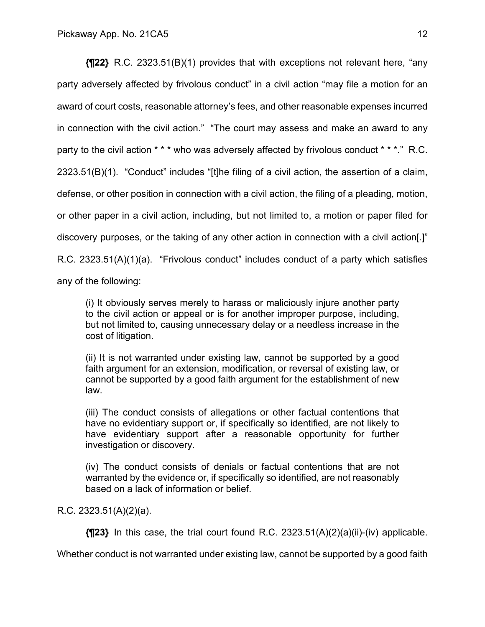**{¶22}** R.C. 2323.51(B)(1) provides that with exceptions not relevant here, "any party adversely affected by frivolous conduct" in a civil action "may file a motion for an award of court costs, reasonable attorney's fees, and other reasonable expenses incurred in connection with the civil action." "The court may assess and make an award to any party to the civil action \* \* \* who was adversely affected by frivolous conduct \* \* \*." R.C. 2323.51(B)(1)."Conduct" includes "[t]he filing of a civil action, the assertion of a claim, defense, or other position in connection with a civil action, the filing of a pleading, motion, or other paper in a civil action, including, but not limited to, a motion or paper filed for discovery purposes, or the taking of any other action in connection with a civil action[.]" R.C. 2323.51(A)(1)(a). "Frivolous conduct" includes conduct of a party which satisfies any of the following:

(i) It obviously serves merely to harass or maliciously injure another party to the civil action or appeal or is for another improper purpose, including, but not limited to, causing unnecessary delay or a needless increase in the cost of litigation.

(ii) It is not warranted under existing law, cannot be supported by a good faith argument for an extension, modification, or reversal of existing law, or cannot be supported by a good faith argument for the establishment of new law.

(iii) The conduct consists of allegations or other factual contentions that have no evidentiary support or, if specifically so identified, are not likely to have evidentiary support after a reasonable opportunity for further investigation or discovery.

(iv) The conduct consists of denials or factual contentions that are not warranted by the evidence or, if specifically so identified, are not reasonably based on a lack of information or belief.

### R.C. 2323.51(A)(2)(a).

**{¶23}** In this case, the trial court found R.C. 2323.51(A)(2)(a)(ii)-(iv) applicable.

Whether conduct is not warranted under existing law, cannot be supported by a good faith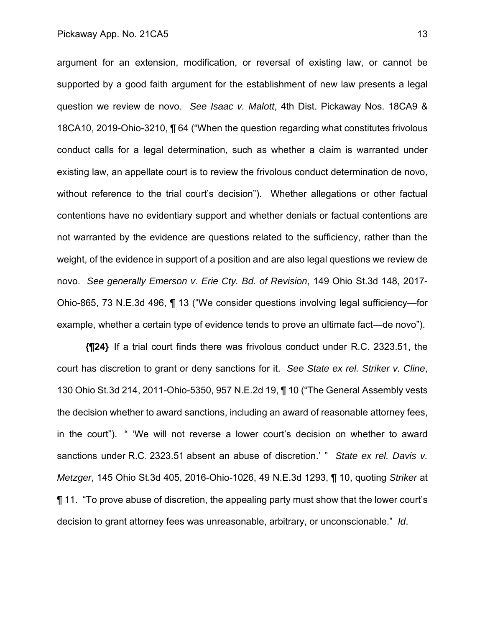argument for an extension, modification, or reversal of existing law, or cannot be supported by a good faith argument for the establishment of new law presents a legal question we review de novo. *See Isaac v. Malott*, 4th Dist. Pickaway Nos. 18CA9 & 18CA10, 2019-Ohio-3210, ¶ 64 ("When the question regarding what constitutes frivolous conduct calls for a legal determination, such as whether a claim is warranted under existing law, an appellate court is to review the frivolous conduct determination de novo, without reference to the trial court's decision"). Whether allegations or other factual contentions have no evidentiary support and whether denials or factual contentions are not warranted by the evidence are questions related to the sufficiency, rather than the weight, of the evidence in support of a position and are also legal questions we review de novo. *See generally Emerson v. Erie Cty. Bd. of Revision*, 149 Ohio St.3d 148, 2017- Ohio-865, 73 N.E.3d 496, ¶ 13 ("We consider questions involving legal sufficiency—for example, whether a certain type of evidence tends to prove an ultimate fact—de novo").

**{¶24}** If a trial court finds there was frivolous conduct under R.C. 2323.51, the court has discretion to grant or deny sanctions for it. *See State ex rel. Striker v. Cline*, 130 Ohio St.3d 214, 2011-Ohio-5350, 957 N.E.2d 19, ¶ 10 ("The General Assembly vests the decision whether to award sanctions, including an award of reasonable attorney fees, in the court"). " 'We will not reverse a lower court's decision on whether to award sanctions under R.C. 2323.51 absent an abuse of discretion.' " *State ex rel. Davis v. Metzger*, 145 Ohio St.3d 405, 2016-Ohio-1026, 49 N.E.3d 1293, ¶ 10, quoting *Striker* at ¶ 11. "To prove abuse of discretion, the appealing party must show that the lower court's decision to grant attorney fees was unreasonable, arbitrary, or unconscionable." *Id*.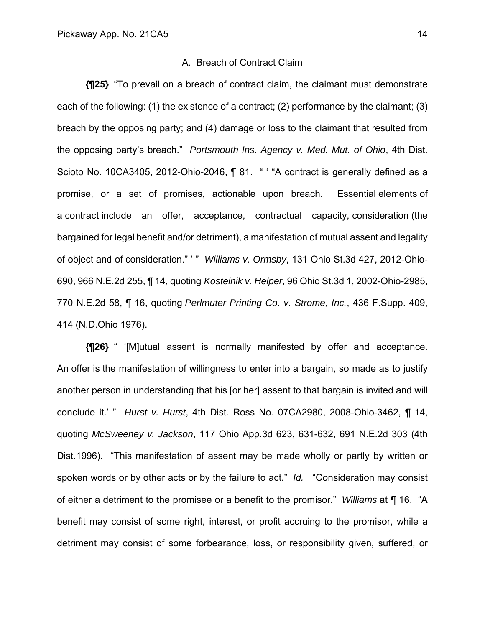#### A. Breach of Contract Claim

**{¶25}** "To prevail on a breach of contract claim, the claimant must demonstrate each of the following: (1) the existence of a contract; (2) performance by the claimant; (3) breach by the opposing party; and (4) damage or loss to the claimant that resulted from the opposing party's breach." *Portsmouth Ins. Agency v. Med. Mut. of Ohio*, 4th Dist. Scioto No. 10CA3405, 2012-Ohio-2046, ¶ 81. " "A contract is generally defined as a promise, or a set of promises, actionable upon breach. Essential elements of a contract include an offer, acceptance, contractual capacity, consideration (the bargained for legal benefit and/or detriment), a manifestation of mutual assent and legality of object and of consideration." ' " *Williams v. Ormsby*, 131 Ohio St.3d 427, 2012-Ohio-690, 966 N.E.2d 255, ¶ 14, quoting *Kostelnik v. Helper*, 96 Ohio St.3d 1, 2002-Ohio-2985, 770 N.E.2d 58, ¶ 16, quoting *Perlmuter Printing Co. v. Strome, Inc.*, 436 F.Supp. 409, 414 (N.D.Ohio 1976).

**{¶26}** " '[M]utual assent is normally manifested by offer and acceptance. An offer is the manifestation of willingness to enter into a bargain, so made as to justify another person in understanding that his [or her] assent to that bargain is invited and will conclude it.' " *Hurst v. Hurst*, 4th Dist. Ross No. 07CA2980, 2008-Ohio-3462, ¶ 14, quoting *McSweeney v. Jackson*, 117 Ohio App.3d 623, 631-632, 691 N.E.2d 303 (4th Dist.1996). "This manifestation of assent may be made wholly or partly by written or spoken words or by other acts or by the failure to act." *Id.* "Consideration may consist of either a detriment to the promisee or a benefit to the promisor." *Williams* at ¶ 16. "A benefit may consist of some right, interest, or profit accruing to the promisor, while a detriment may consist of some forbearance, loss, or responsibility given, suffered, or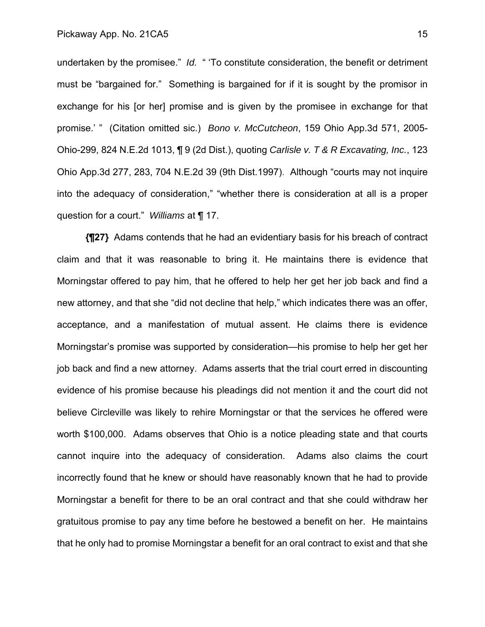undertaken by the promisee." *Id.* " 'To constitute consideration, the benefit or detriment must be "bargained for." Something is bargained for if it is sought by the promisor in exchange for his [or her] promise and is given by the promisee in exchange for that promise.' " (Citation omitted sic.) *Bono v. McCutcheon*, 159 Ohio App.3d 571, 2005- Ohio-299, 824 N.E.2d 1013, ¶ 9 (2d Dist.), quoting *Carlisle v. T & R Excavating, Inc.*, 123 Ohio App.3d 277, 283, 704 N.E.2d 39 (9th Dist.1997). Although "courts may not inquire into the adequacy of consideration," "whether there is consideration at all is a proper question for a court." *Williams* at ¶ 17.

**{¶27}** Adams contends that he had an evidentiary basis for his breach of contract claim and that it was reasonable to bring it. He maintains there is evidence that Morningstar offered to pay him, that he offered to help her get her job back and find a new attorney, and that she "did not decline that help," which indicates there was an offer, acceptance, and a manifestation of mutual assent. He claims there is evidence Morningstar's promise was supported by consideration—his promise to help her get her job back and find a new attorney. Adams asserts that the trial court erred in discounting evidence of his promise because his pleadings did not mention it and the court did not believe Circleville was likely to rehire Morningstar or that the services he offered were worth \$100,000. Adams observes that Ohio is a notice pleading state and that courts cannot inquire into the adequacy of consideration. Adams also claims the court incorrectly found that he knew or should have reasonably known that he had to provide Morningstar a benefit for there to be an oral contract and that she could withdraw her gratuitous promise to pay any time before he bestowed a benefit on her. He maintains that he only had to promise Morningstar a benefit for an oral contract to exist and that she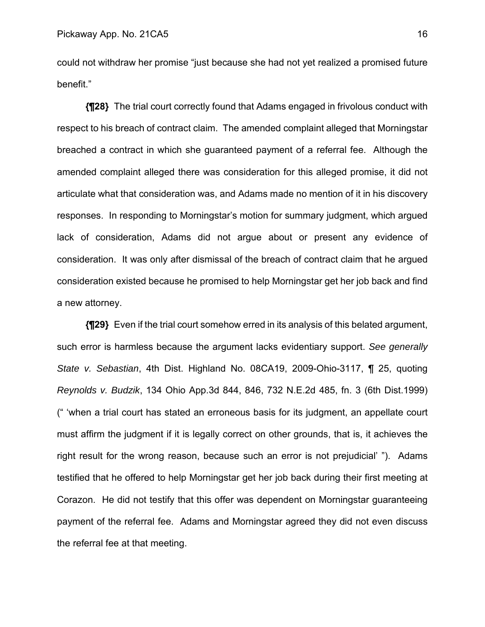could not withdraw her promise "just because she had not yet realized a promised future benefit."

**{¶28}** The trial court correctly found that Adams engaged in frivolous conduct with respect to his breach of contract claim. The amended complaint alleged that Morningstar breached a contract in which she guaranteed payment of a referral fee. Although the amended complaint alleged there was consideration for this alleged promise, it did not articulate what that consideration was, and Adams made no mention of it in his discovery responses. In responding to Morningstar's motion for summary judgment, which argued lack of consideration, Adams did not argue about or present any evidence of consideration. It was only after dismissal of the breach of contract claim that he argued consideration existed because he promised to help Morningstar get her job back and find a new attorney.

**{¶29}** Even if the trial court somehow erred in its analysis of this belated argument, such error is harmless because the argument lacks evidentiary support. *See generally State v. Sebastian*, 4th Dist. Highland No. 08CA19, 2009-Ohio-3117, ¶ 25, quoting *Reynolds v. Budzik*, 134 Ohio App.3d 844, 846, 732 N.E.2d 485, fn. 3 (6th Dist.1999) (" 'when a trial court has stated an erroneous basis for its judgment, an appellate court must affirm the judgment if it is legally correct on other grounds, that is, it achieves the right result for the wrong reason, because such an error is not prejudicial' "). Adams testified that he offered to help Morningstar get her job back during their first meeting at Corazon. He did not testify that this offer was dependent on Morningstar guaranteeing payment of the referral fee. Adams and Morningstar agreed they did not even discuss the referral fee at that meeting.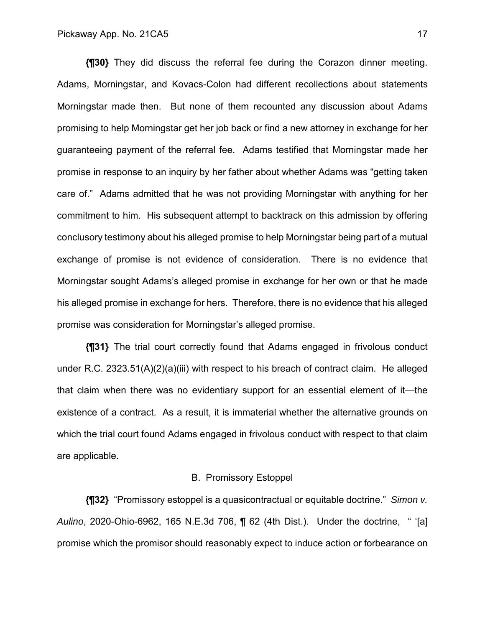**{¶30}** They did discuss the referral fee during the Corazon dinner meeting. Adams, Morningstar, and Kovacs-Colon had different recollections about statements Morningstar made then. But none of them recounted any discussion about Adams promising to help Morningstar get her job back or find a new attorney in exchange for her guaranteeing payment of the referral fee. Adams testified that Morningstar made her promise in response to an inquiry by her father about whether Adams was "getting taken care of." Adams admitted that he was not providing Morningstar with anything for her commitment to him. His subsequent attempt to backtrack on this admission by offering conclusory testimony about his alleged promise to help Morningstar being part of a mutual exchange of promise is not evidence of consideration. There is no evidence that Morningstar sought Adams's alleged promise in exchange for her own or that he made his alleged promise in exchange for hers. Therefore, there is no evidence that his alleged promise was consideration for Morningstar's alleged promise.

**{¶31}** The trial court correctly found that Adams engaged in frivolous conduct under R.C. 2323.51(A)(2)(a)(iii) with respect to his breach of contract claim. He alleged that claim when there was no evidentiary support for an essential element of it—the existence of a contract. As a result, it is immaterial whether the alternative grounds on which the trial court found Adams engaged in frivolous conduct with respect to that claim are applicable.

#### B. Promissory Estoppel

**{¶32}** "Promissory estoppel is a quasicontractual or equitable doctrine." *Simon v. Aulino*, 2020-Ohio-6962, 165 N.E.3d 706, ¶ 62 (4th Dist.). Under the doctrine, " '[a] promise which the promisor should reasonably expect to induce action or forbearance on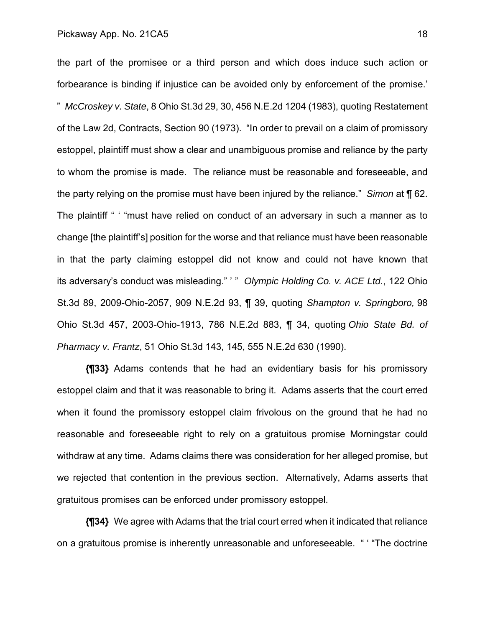the part of the promisee or a third person and which does induce such action or forbearance is binding if injustice can be avoided only by enforcement of the promise.' " *McCroskey v. State*, 8 Ohio St.3d 29, 30, 456 N.E.2d 1204 (1983), quoting Restatement of the Law 2d, Contracts, Section 90 (1973). "In order to prevail on a claim of promissory estoppel, plaintiff must show a clear and unambiguous promise and reliance by the party to whom the promise is made. The reliance must be reasonable and foreseeable, and the party relying on the promise must have been injured by the reliance." *Simon* at ¶ 62. The plaintiff " ' "must have relied on conduct of an adversary in such a manner as to change [the plaintiff's] position for the worse and that reliance must have been reasonable in that the party claiming estoppel did not know and could not have known that its adversary's conduct was misleading." ' " *Olympic Holding Co. v. ACE Ltd.*, 122 Ohio St.3d 89, 2009-Ohio-2057, 909 N.E.2d 93, ¶ 39, quoting *Shampton v. Springboro,* 98 Ohio St.3d 457, 2003-Ohio-1913, 786 N.E.2d 883, ¶ 34, quoting *Ohio State Bd. of Pharmacy v. Frantz*, 51 Ohio St.3d 143, 145, 555 N.E.2d 630 (1990).

**{¶33}** Adams contends that he had an evidentiary basis for his promissory estoppel claim and that it was reasonable to bring it. Adams asserts that the court erred when it found the promissory estoppel claim frivolous on the ground that he had no reasonable and foreseeable right to rely on a gratuitous promise Morningstar could withdraw at any time. Adams claims there was consideration for her alleged promise, but we rejected that contention in the previous section. Alternatively, Adams asserts that gratuitous promises can be enforced under promissory estoppel.

**{¶34}** We agree with Adams that the trial court erred when it indicated that reliance on a gratuitous promise is inherently unreasonable and unforeseeable. " ' "The doctrine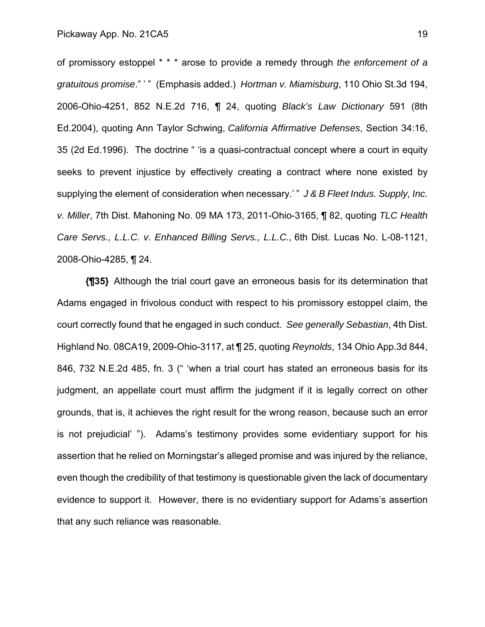of promissory estoppel \* \* \* arose to provide a remedy through *the enforcement of a gratuitous promise*." ' " (Emphasis added.) *Hortman v. Miamisburg*, 110 Ohio St.3d 194, 2006-Ohio-4251, 852 N.E.2d 716, ¶ 24, quoting *Black's Law Dictionary* 591 (8th Ed.2004), quoting Ann Taylor Schwing, *California Affirmative Defenses*, Section 34:16, 35 (2d Ed.1996). The doctrine " 'is a quasi-contractual concept where a court in equity seeks to prevent injustice by effectively creating a contract where none existed by supplying the element of consideration when necessary.' " *J & B Fleet Indus. Supply, Inc. v. Miller*, 7th Dist. Mahoning No. 09 MA 173, 2011-Ohio-3165, ¶ 82, quoting *TLC Health Care Servs., L.L.C. v. Enhanced Billing Servs., L.L.C.,* 6th Dist. Lucas No. L-08-1121, 2008-Ohio-4285, ¶ 24.

**{¶35}** Although the trial court gave an erroneous basis for its determination that Adams engaged in frivolous conduct with respect to his promissory estoppel claim, the court correctly found that he engaged in such conduct. *See generally Sebastian*, 4th Dist. Highland No. 08CA19, 2009-Ohio-3117, at ¶ 25, quoting *Reynolds*, 134 Ohio App.3d 844, 846, 732 N.E.2d 485, fn. 3 (" 'when a trial court has stated an erroneous basis for its judgment, an appellate court must affirm the judgment if it is legally correct on other grounds, that is, it achieves the right result for the wrong reason, because such an error is not prejudicial' "). Adams's testimony provides some evidentiary support for his assertion that he relied on Morningstar's alleged promise and was injured by the reliance, even though the credibility of that testimony is questionable given the lack of documentary evidence to support it. However, there is no evidentiary support for Adams's assertion that any such reliance was reasonable.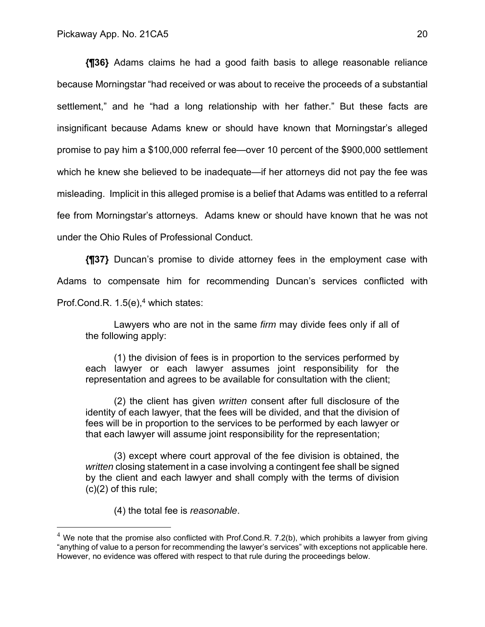**{¶36}** Adams claims he had a good faith basis to allege reasonable reliance because Morningstar "had received or was about to receive the proceeds of a substantial settlement," and he "had a long relationship with her father." But these facts are insignificant because Adams knew or should have known that Morningstar's alleged promise to pay him a \$100,000 referral fee—over 10 percent of the \$900,000 settlement which he knew she believed to be inadequate—if her attorneys did not pay the fee was misleading. Implicit in this alleged promise is a belief that Adams was entitled to a referral fee from Morningstar's attorneys. Adams knew or should have known that he was not under the Ohio Rules of Professional Conduct.

**{¶37}** Duncan's promise to divide attorney fees in the employment case with Adams to compensate him for recommending Duncan's services conflicted with Prof.Cond.R. 1.5(e),<sup>4</sup> which states:

Lawyers who are not in the same *firm* may divide fees only if all of the following apply:

(1) the division of fees is in proportion to the services performed by each lawyer or each lawyer assumes joint responsibility for the representation and agrees to be available for consultation with the client;

(2) the client has given *written* consent after full disclosure of the identity of each lawyer, that the fees will be divided, and that the division of fees will be in proportion to the services to be performed by each lawyer or that each lawyer will assume joint responsibility for the representation;

(3) except where court approval of the fee division is obtained, the *written* closing statement in a case involving a contingent fee shall be signed by the client and each lawyer and shall comply with the terms of division  $(c)(2)$  of this rule;

(4) the total fee is *reasonable*.

 $4$  We note that the promise also conflicted with Prof.Cond.R. 7.2(b), which prohibits a lawyer from giving "anything of value to a person for recommending the lawyer's services" with exceptions not applicable here. However, no evidence was offered with respect to that rule during the proceedings below.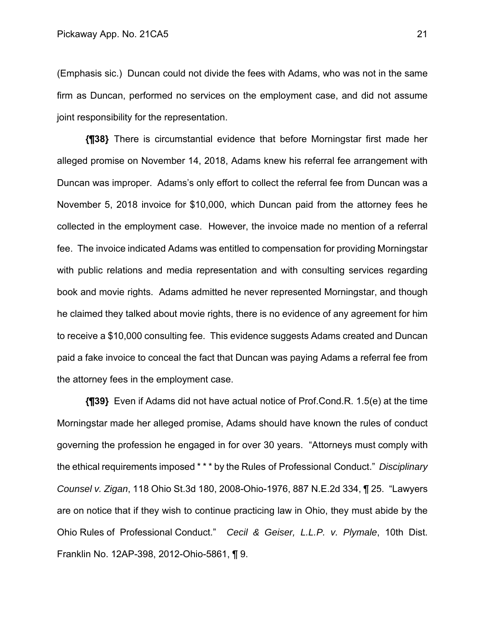(Emphasis sic.) Duncan could not divide the fees with Adams, who was not in the same firm as Duncan, performed no services on the employment case, and did not assume joint responsibility for the representation.

**{¶38}** There is circumstantial evidence that before Morningstar first made her alleged promise on November 14, 2018, Adams knew his referral fee arrangement with Duncan was improper. Adams's only effort to collect the referral fee from Duncan was a November 5, 2018 invoice for \$10,000, which Duncan paid from the attorney fees he collected in the employment case. However, the invoice made no mention of a referral fee. The invoice indicated Adams was entitled to compensation for providing Morningstar with public relations and media representation and with consulting services regarding book and movie rights. Adams admitted he never represented Morningstar, and though he claimed they talked about movie rights, there is no evidence of any agreement for him to receive a \$10,000 consulting fee. This evidence suggests Adams created and Duncan paid a fake invoice to conceal the fact that Duncan was paying Adams a referral fee from the attorney fees in the employment case.

**{¶39}** Even if Adams did not have actual notice of Prof.Cond.R. 1.5(e) at the time Morningstar made her alleged promise, Adams should have known the rules of conduct governing the profession he engaged in for over 30 years. "Attorneys must comply with the ethical requirements imposed \* \* \* by the Rules of Professional Conduct." *Disciplinary Counsel v. Zigan*, 118 Ohio St.3d 180, 2008-Ohio-1976, 887 N.E.2d 334, ¶ 25. "Lawyers are on notice that if they wish to continue practicing law in Ohio, they must abide by the Ohio Rules of Professional Conduct." *Cecil & Geiser, L.L.P. v. Plymale*, 10th Dist. Franklin No. 12AP-398, 2012-Ohio-5861, ¶ 9.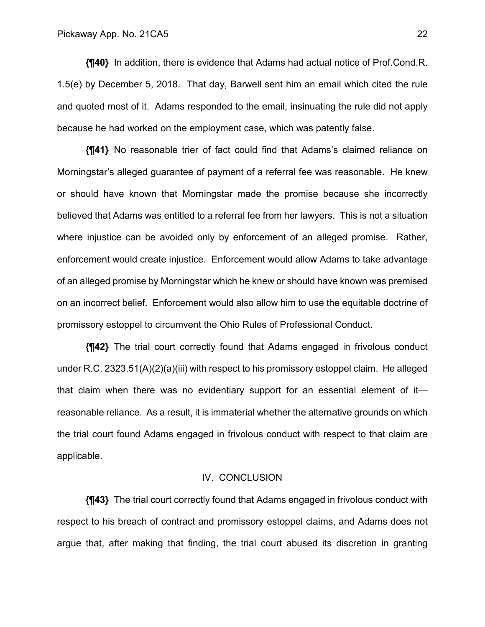**{¶40}** In addition, there is evidence that Adams had actual notice of Prof.Cond.R. 1.5(e) by December 5, 2018. That day, Barwell sent him an email which cited the rule and quoted most of it. Adams responded to the email, insinuating the rule did not apply because he had worked on the employment case, which was patently false.

**{¶41}** No reasonable trier of fact could find that Adams's claimed reliance on Morningstar's alleged guarantee of payment of a referral fee was reasonable. He knew or should have known that Morningstar made the promise because she incorrectly believed that Adams was entitled to a referral fee from her lawyers. This is not a situation where injustice can be avoided only by enforcement of an alleged promise. Rather, enforcement would create injustice. Enforcement would allow Adams to take advantage of an alleged promise by Morningstar which he knew or should have known was premised on an incorrect belief. Enforcement would also allow him to use the equitable doctrine of promissory estoppel to circumvent the Ohio Rules of Professional Conduct.

**{¶42}** The trial court correctly found that Adams engaged in frivolous conduct under R.C. 2323.51(A)(2)(a)(iii) with respect to his promissory estoppel claim. He alleged that claim when there was no evidentiary support for an essential element of it reasonable reliance. As a result, it is immaterial whether the alternative grounds on which the trial court found Adams engaged in frivolous conduct with respect to that claim are applicable.

#### IV. CONCLUSION

**{¶43}** The trial court correctly found that Adams engaged in frivolous conduct with respect to his breach of contract and promissory estoppel claims, and Adams does not argue that, after making that finding, the trial court abused its discretion in granting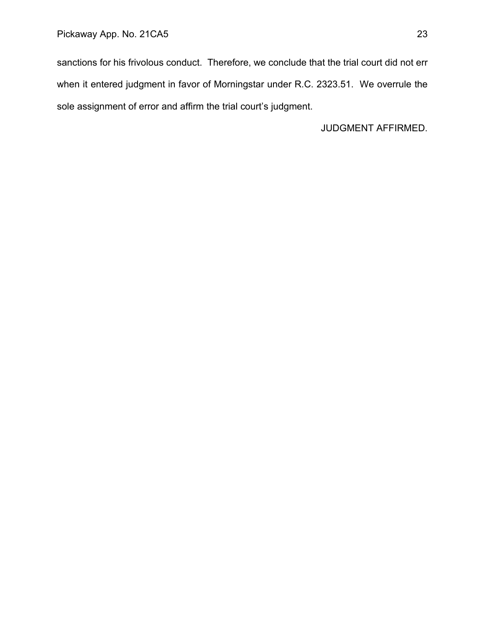sanctions for his frivolous conduct. Therefore, we conclude that the trial court did not err when it entered judgment in favor of Morningstar under R.C. 2323.51. We overrule the sole assignment of error and affirm the trial court's judgment.

JUDGMENT AFFIRMED.